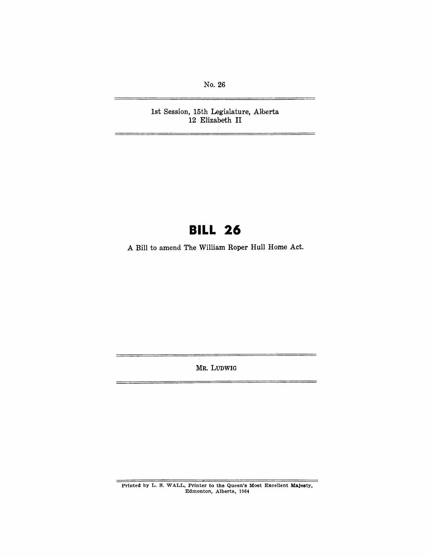No. 26

1st Session, 15th Legislature, Alberta 12 Elizabeth **II** 

# **BILL 26**

A Bill to amend The William Roper Hull Home Act.

MR. LUDWIG

Printed by L. S. WALL, Printer to the Queen's Most Excellent Majesty, Edmonton, Alberta, 1964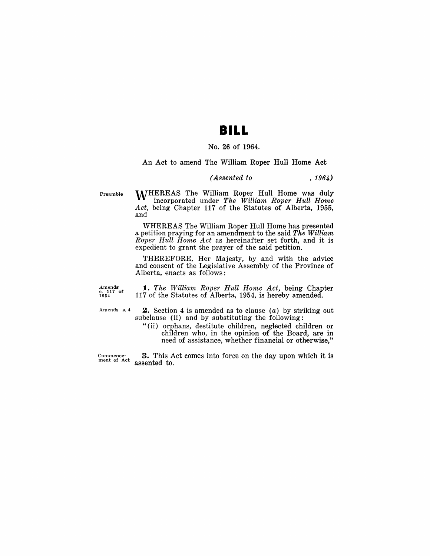### **BILL**

#### No. 26 of 1964.

An Act to amend The William Roper Hull Home Act

*(Assented to* , 1964)

Preamble

**M/HEREAS The William Roper Hull Home was duly** incorporated under *The William Roper Hull Home Act,* being Chapter 117 of the Statutes of Alberta, 1955, and

WHEREAS The William Roper Hull Home has presented a petition praying for an amendment to the said *The William Roper Hull Horne Act* as hereinafter set forth, and it is expedient to grant the prayer of the said petition.

THEREFORE, Her Majesty, by and with the advice and consent of the Legislative Assembly of the Province of Alberta, enacts as follows:

Amend**s**<br>c. 117 o**f**<br>1954 *1. The William Roper Hull Home Act,* being Chapter 117 of the Statutes of Alberta, 1954, is hereby amended.

Amends s.4

**2.** Section 4 is amended as to clause  $(a)$  by striking out subclause (ii) and by substituting the following:

"(ii) orphans, destitute children, neglected children or children who, in the opinion of the Board, are in need of assistance, whether financial or otherwise,"

Commence-ment of Act 3. This Act comes into force on the day upon which it is assented to.